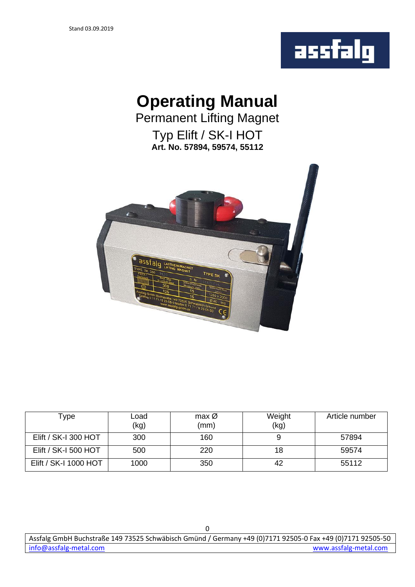

# **Operating Manual**

Permanent Lifting Magnet Typ Elift / SK-I HOT **Art. No. 57894, 59574, 55112**



| Type                  | Load<br>(kg) | $max$ $\varnothing$<br>(mm) | Weight<br>(kg) | Article number |
|-----------------------|--------------|-----------------------------|----------------|----------------|
|                       |              |                             |                |                |
| Elift / SK-I 300 HOT  | 300          | 160                         |                | 57894          |
| Elift / SK-I 500 HOT  | 500          | 220                         | 18             | 59574          |
| Elift / SK-I 1000 HOT | 1000         | 350                         | 42             | 55112          |

Assfalg GmbH Buchstraße 149 73525 Schwäbisch Gmünd / Germany +49 (0)7171 92505-0 Fax +49 (0)7171 92505-50 [info@assfalg-m](mailto:info@assfalg-)etal.com [www.assfalg-metal.com](http://www.assfalg-metal.com/)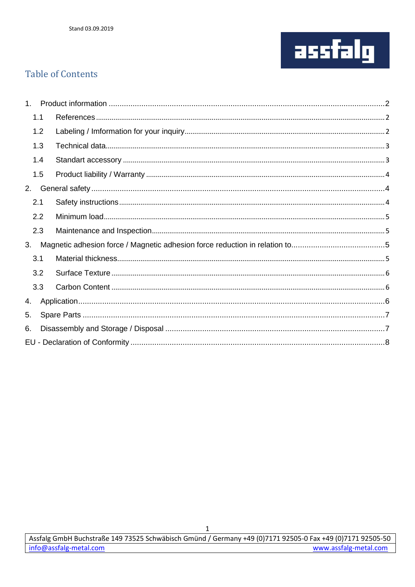

## **Table of Contents**

|    | 1.1 |  |
|----|-----|--|
|    | 1.2 |  |
|    | 1.3 |  |
|    | 1.4 |  |
|    | 1.5 |  |
| 2. |     |  |
|    | 2.1 |  |
|    | 2.2 |  |
|    | 2.3 |  |
| 3. |     |  |
|    | 3.1 |  |
|    | 3.2 |  |
|    | 3.3 |  |
| 4. |     |  |
| 5. |     |  |
| 6. |     |  |
|    |     |  |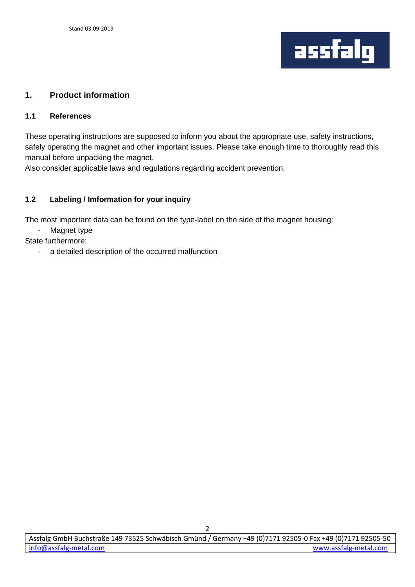

#### <span id="page-2-0"></span>**1. Product information**

#### <span id="page-2-1"></span>**1.1 References**

These operating instructions are supposed to inform you about the appropriate use, safety instructions, safely operating the magnet and other important issues. Please take enough time to thoroughly read this manual before unpacking the magnet.

Also consider applicable laws and regulations regarding accident prevention.

#### <span id="page-2-2"></span>**1.2 Labeling / Imformation for your inquiry**

The most important data can be found on the type-label on the side of the magnet housing:

Magnet type

- State furthermore:
	- a detailed description of the occurred malfunction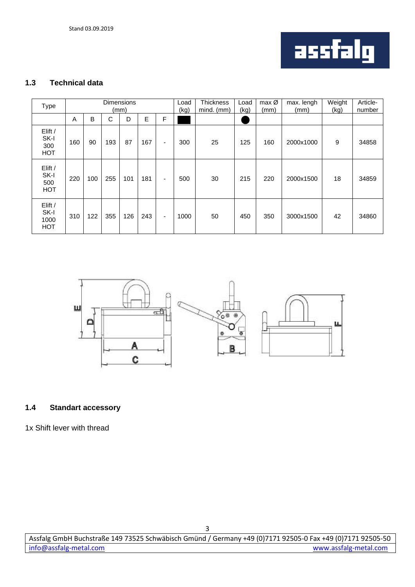

## <span id="page-3-0"></span>**1.3 Technical data**

| <b>Type</b>                           | <b>Dimensions</b><br>(mm) |     |     |     |     | Load<br>(kg)             | Thickness<br>mind. (mm) | Load<br>(kg) | $max$ Ø<br>(mm) | max. lengh<br>(mm) | Weight<br>(kg) | Article-<br>number |       |
|---------------------------------------|---------------------------|-----|-----|-----|-----|--------------------------|-------------------------|--------------|-----------------|--------------------|----------------|--------------------|-------|
|                                       | A                         | B   | С   | D   | E   | F                        |                         |              |                 |                    |                |                    |       |
| Elift /<br>SK-I<br>300<br><b>HOT</b>  | 160                       | 90  | 193 | 87  | 167 | $\overline{\phantom{a}}$ | 300                     | 25           | 125             | 160                | 2000x1000      | 9                  | 34858 |
| Elift /<br>SK-I<br>500<br><b>HOT</b>  | 220                       | 100 | 255 | 101 | 181 | -                        | 500                     | 30           | 215             | 220                | 2000x1500      | 18                 | 34859 |
| Elift /<br>SK-I<br>1000<br><b>HOT</b> | 310                       | 122 | 355 | 126 | 243 | $\overline{\phantom{a}}$ | 1000                    | 50           | 450             | 350                | 3000x1500      | 42                 | 34860 |



#### <span id="page-3-1"></span>**1.4 Standart accessory**

1x Shift lever with thread

3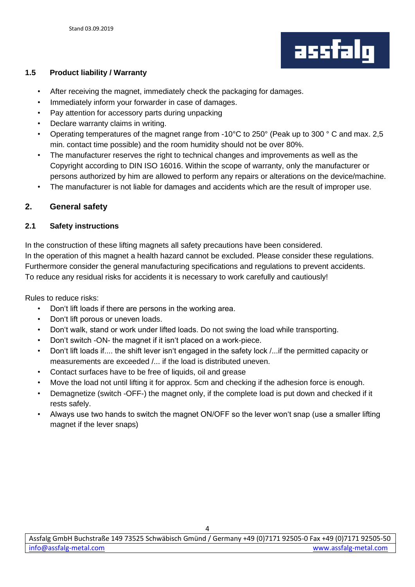

## <span id="page-4-0"></span>**1.5 Product liability / Warranty**

- After receiving the magnet, immediately check the packaging for damages.
- Immediately inform your forwarder in case of damages.
- Pay attention for accessory parts during unpacking
- Declare warranty claims in writing.
- Operating temperatures of the magnet range from -10°C to 250° (Peak up to 300 ° C and max. 2,5 min. contact time possible) and the room humidity should not be over 80%.
- The manufacturer reserves the right to technical changes and improvements as well as the Copyright according to DIN ISO 16016. Within the scope of warranty, only the manufacturer or persons authorized by him are allowed to perform any repairs or alterations on the device/machine.
- The manufacturer is not liable for damages and accidents which are the result of improper use.

## <span id="page-4-1"></span>**2. General safety**

#### <span id="page-4-2"></span>**2.1 Safety instructions**

In the construction of these lifting magnets all safety precautions have been considered. In the operation of this magnet a health hazard cannot be excluded. Please consider these regulations. Furthermore consider the general manufacturing specifications and regulations to prevent accidents. To reduce any residual risks for accidents it is necessary to work carefully and cautiously!

Rules to reduce risks:

- Don't lift loads if there are persons in the working area.
- Don't lift porous or uneven loads.
- Don't walk, stand or work under lifted loads. Do not swing the load while transporting.
- Don't switch -ON- the magnet if it isn't placed on a work-piece.
- Don't lift loads if.... the shift lever isn't engaged in the safety lock /...if the permitted capacity or measurements are exceeded /... if the load is distributed uneven.
- Contact surfaces have to be free of liquids, oil and grease
- Move the load not until lifting it for approx. 5cm and checking if the adhesion force is enough.
- Demagnetize (switch -OFF-) the magnet only, if the complete load is put down and checked if it rests safely.
- Always use two hands to switch the magnet ON/OFF so the lever won't snap (use a smaller lifting magnet if the lever snaps)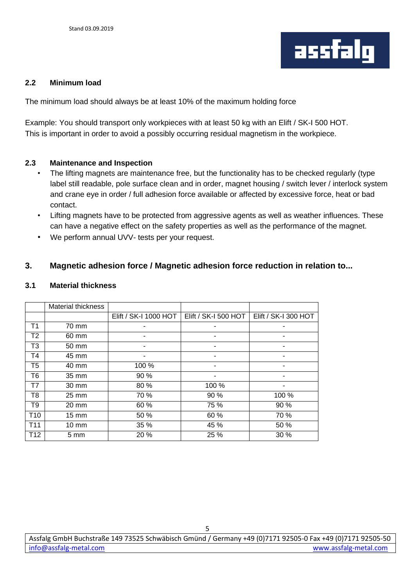

#### <span id="page-5-0"></span>**2.2 Minimum load**

The minimum load should always be at least 10% of the maximum holding force

Example: You should transport only workpieces with at least 50 kg with an Elift / SK-I 500 HOT. This is important in order to avoid a possibly occurring residual magnetism in the workpiece.

#### <span id="page-5-1"></span>**2.3 Maintenance and Inspection**

- The lifting magnets are maintenance free, but the functionality has to be checked regularly (type label still readable, pole surface clean and in order, magnet housing / switch lever / interlock system and crane eye in order / full adhesion force available or affected by excessive force, heat or bad contact.
- Lifting magnets have to be protected from aggressive agents as well as weather influences. These can have a negative effect on the safety properties as well as the performance of the magnet.
- We perform annual UVV- tests per your request.

## <span id="page-5-2"></span>**3. Magnetic adhesion force / Magnetic adhesion force reduction in relation to...**

#### <span id="page-5-3"></span>**3.1 Material thickness**

<span id="page-5-4"></span>

|                 | <b>Material thickness</b> |                       |                      |                      |
|-----------------|---------------------------|-----------------------|----------------------|----------------------|
|                 |                           | Elift / SK-I 1000 HOT | Elift / SK-I 500 HOT | Elift / SK-I 300 HOT |
| Τ1              | 70 mm                     |                       |                      |                      |
| Т2              | 60 mm                     | ٠                     | ۰                    |                      |
| T3              | 50 mm                     |                       |                      |                      |
| T4              | 45 mm                     |                       |                      |                      |
| T5              | 40 mm                     | 100 %                 | ۰                    |                      |
| T6              | 35 mm                     | 90 %                  |                      |                      |
| Т7              | $30 \text{ mm}$           | 80 %                  | 100 %                |                      |
| T8              | 25 mm                     | 70 %                  | 90 %                 | 100 %                |
| T9              | $20 \text{ mm}$           | 60 %                  | 75 %                 | 90 %                 |
| T <sub>10</sub> | $15 \text{ mm}$           | 50 %                  | 60 %                 | 70 %                 |
| T <sub>11</sub> | $10 \text{ mm}$           | 35 %                  | 45 %                 | 50 %                 |
| T <sub>12</sub> | $5 \text{ mm}$            | 20 %                  | 25 %                 | 30 %                 |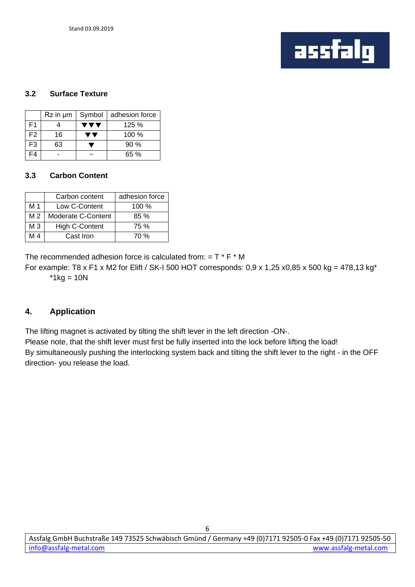

#### **3.2 Surface Texture**

|                | $Rz$ in $µm$ | Symbol | adhesion force |
|----------------|--------------|--------|----------------|
| F <sub>1</sub> |              |        | 125%           |
| F <sub>2</sub> | 16           |        | $100 \%$       |
| F <sub>3</sub> | 63           |        | $90\%$         |
| -4             |              |        | 65%            |

#### <span id="page-6-0"></span>**3.3 Carbon Content**

|                | Carbon content        | adhesion force |
|----------------|-----------------------|----------------|
| M 1            | Low C-Content         | 100%           |
| M <sub>2</sub> | Moderate C-Content    | 85%            |
| M <sub>3</sub> | <b>High C-Content</b> | 75 %           |
| M 4            | Cast Iron             | 70 %           |

The recommended adhesion force is calculated from: =  $T * F * M$ 

For example: T8 x F1 x M2 for Elift / SK-I 500 HOT corresponds:  $0.9$  x 1,25 x0,85 x 500 kg = 478,13 kg<sup>\*</sup>  $*1kg = 10N$ 

## <span id="page-6-1"></span>**4. Application**

The lifting magnet is activated by tilting the shift lever in the left direction -ON-.

Please note, that the shift lever must first be fully inserted into the lock before lifting the load! By simultaneously pushing the interlocking system back and tilting the shift lever to the right - in the OFF

direction- you release the load.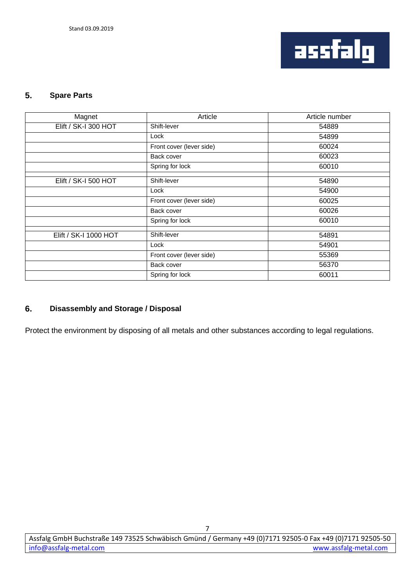

## <span id="page-7-0"></span>**5. Spare Parts**

| Magnet                | Article                  | Article number |
|-----------------------|--------------------------|----------------|
| Elift / SK-I 300 HOT  | Shift-lever              | 54889          |
|                       | Lock                     | 54899          |
|                       | Front cover (lever side) | 60024          |
|                       | Back cover               | 60023          |
|                       | Spring for lock          | 60010          |
| Elift / SK-I 500 HOT  | Shift-lever              |                |
|                       |                          | 54890          |
|                       | Lock                     | 54900          |
|                       | Front cover (lever side) | 60025          |
|                       | Back cover               | 60026          |
|                       | Spring for lock          | 60010          |
|                       |                          |                |
| Elift / SK-I 1000 HOT | Shift-lever              | 54891          |
|                       | Lock                     | 54901          |
|                       | Front cover (lever side) | 55369          |
|                       | Back cover               | 56370          |
|                       | Spring for lock          | 60011          |

## <span id="page-7-1"></span>**6. Disassembly and Storage / Disposal**

<span id="page-7-2"></span>Protect the environment by disposing of all metals and other substances according to legal regulations.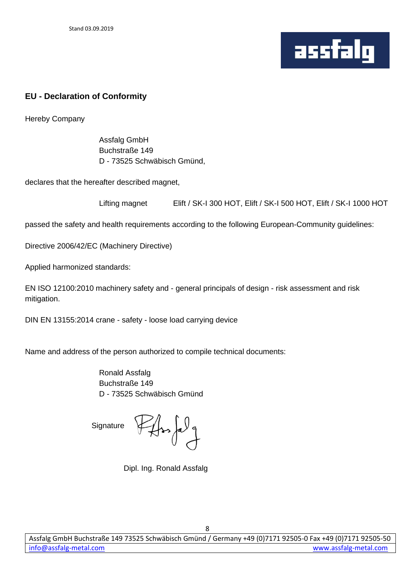

## **EU - Declaration of Conformity**

Hereby Company

Assfalg GmbH Buchstraße 149 D - 73525 Schwäbisch Gmünd,

declares that the hereafter described magnet,

| Lifting magnet | Elift / SK-I 300 HOT, Elift / SK-I 500 HOT, Elift / SK-I 1000 HOT |
|----------------|-------------------------------------------------------------------|
|----------------|-------------------------------------------------------------------|

passed the safety and health requirements according to the following European-Community guidelines:

Directive 2006/42/EC (Machinery Directive)

Applied harmonized standards:

EN ISO 12100:2010 machinery safety and - general principals of design - risk assessment and risk mitigation.

DIN EN 13155:2014 crane - safety - loose load carrying device

Name and address of the person authorized to compile technical documents:

Ronald Assfalg Buchstraße 149 D - 73525 Schwäbisch Gmünd

Signature  $H$ 

Dipl. Ing. Ronald Assfalg